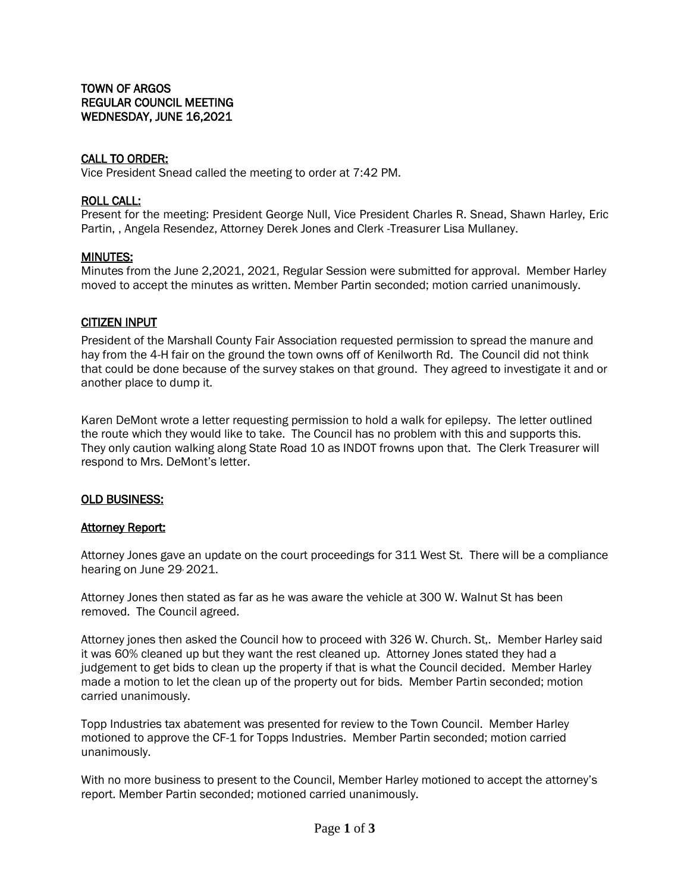# CALL TO ORDER:

Vice President Snead called the meeting to order at 7:42 PM.

### ROLL CALL:

Present for the meeting: President George Null, Vice President Charles R. Snead, Shawn Harley, Eric Partin, , Angela Resendez, Attorney Derek Jones and Clerk -Treasurer Lisa Mullaney.

### MINUTES:

Minutes from the June 2,2021, 2021, Regular Session were submitted for approval. Member Harley moved to accept the minutes as written. Member Partin seconded; motion carried unanimously.

## CITIZEN INPUT

President of the Marshall County Fair Association requested permission to spread the manure and hay from the 4-H fair on the ground the town owns off of Kenilworth Rd. The Council did not think that could be done because of the survey stakes on that ground. They agreed to investigate it and or another place to dump it.

Karen DeMont wrote a letter requesting permission to hold a walk for epilepsy. The letter outlined the route which they would like to take. The Council has no problem with this and supports this. They only caution walking along State Road 10 as INDOT frowns upon that. The Clerk Treasurer will respond to Mrs. DeMont's letter.

#### OLD BUSINESS:

#### Attorney Report:

Attorney Jones gave an update on the court proceedings for 311 West St. There will be a compliance hearing on June 29, 2021.

Attorney Jones then stated as far as he was aware the vehicle at 300 W. Walnut St has been removed. The Council agreed.

Attorney jones then asked the Council how to proceed with 326 W. Church. St,. Member Harley said it was 60% cleaned up but they want the rest cleaned up. Attorney Jones stated they had a judgement to get bids to clean up the property if that is what the Council decided. Member Harley made a motion to let the clean up of the property out for bids. Member Partin seconded; motion carried unanimously.

Topp Industries tax abatement was presented for review to the Town Council. Member Harley motioned to approve the CF-1 for Topps Industries. Member Partin seconded; motion carried unanimously.

With no more business to present to the Council, Member Harley motioned to accept the attorney's report. Member Partin seconded; motioned carried unanimously.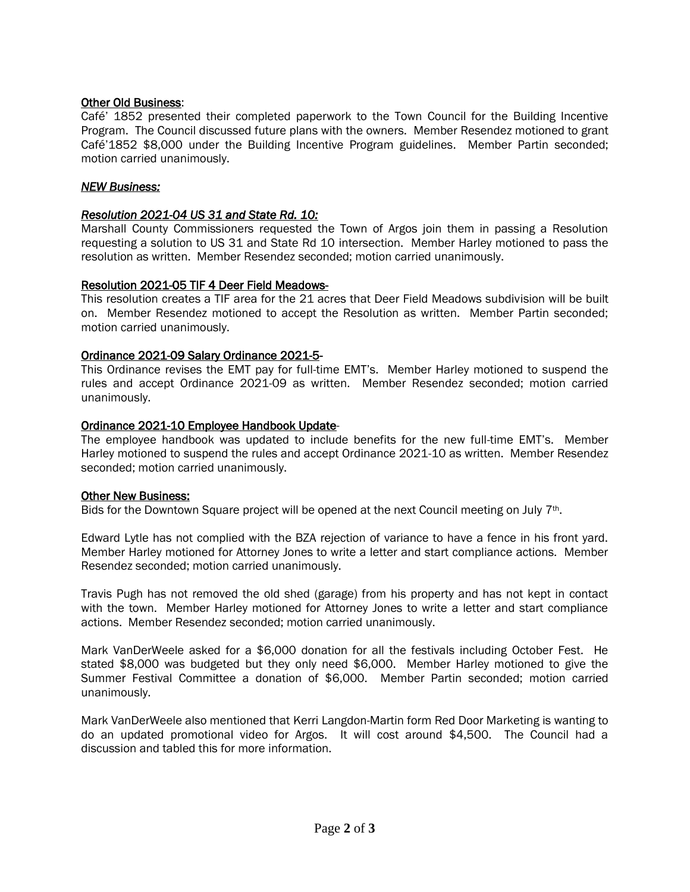# Other Old Business:

Café' 1852 presented their completed paperwork to the Town Council for the Building Incentive Program. The Council discussed future plans with the owners. Member Resendez motioned to grant Café'1852 \$8,000 under the Building Incentive Program guidelines. Member Partin seconded; motion carried unanimously.

# *NEW Business:*

# *Resolution 2021-04 US 31 and State Rd. 10:*

Marshall County Commissioners requested the Town of Argos join them in passing a Resolution requesting a solution to US 31 and State Rd 10 intersection. Member Harley motioned to pass the resolution as written. Member Resendez seconded; motion carried unanimously.

# Resolution 2021-05 TIF 4 Deer Field Meadows-

This resolution creates a TIF area for the 21 acres that Deer Field Meadows subdivision will be built on. Member Resendez motioned to accept the Resolution as written. Member Partin seconded; motion carried unanimously.

# Ordinance 2021-09 Salary Ordinance 2021-5*-*

This Ordinance revises the EMT pay for full-time EMT's. Member Harley motioned to suspend the rules and accept Ordinance 2021-09 as written. Member Resendez seconded; motion carried unanimously.

# Ordinance 2021-10 Employee Handbook Update-

The employee handbook was updated to include benefits for the new full-time EMT's. Member Harley motioned to suspend the rules and accept Ordinance 2021-10 as written. Member Resendez seconded; motion carried unanimously.

## Other New Business:

Bids for the Downtown Square project will be opened at the next Council meeting on July 7th.

Edward Lytle has not complied with the BZA rejection of variance to have a fence in his front yard. Member Harley motioned for Attorney Jones to write a letter and start compliance actions. Member Resendez seconded; motion carried unanimously.

Travis Pugh has not removed the old shed (garage) from his property and has not kept in contact with the town. Member Harley motioned for Attorney Jones to write a letter and start compliance actions. Member Resendez seconded; motion carried unanimously.

Mark VanDerWeele asked for a \$6,000 donation for all the festivals including October Fest. He stated \$8,000 was budgeted but they only need \$6,000. Member Harley motioned to give the Summer Festival Committee a donation of \$6,000. Member Partin seconded; motion carried unanimously.

Mark VanDerWeele also mentioned that Kerri Langdon-Martin form Red Door Marketing is wanting to do an updated promotional video for Argos. It will cost around \$4,500. The Council had a discussion and tabled this for more information.